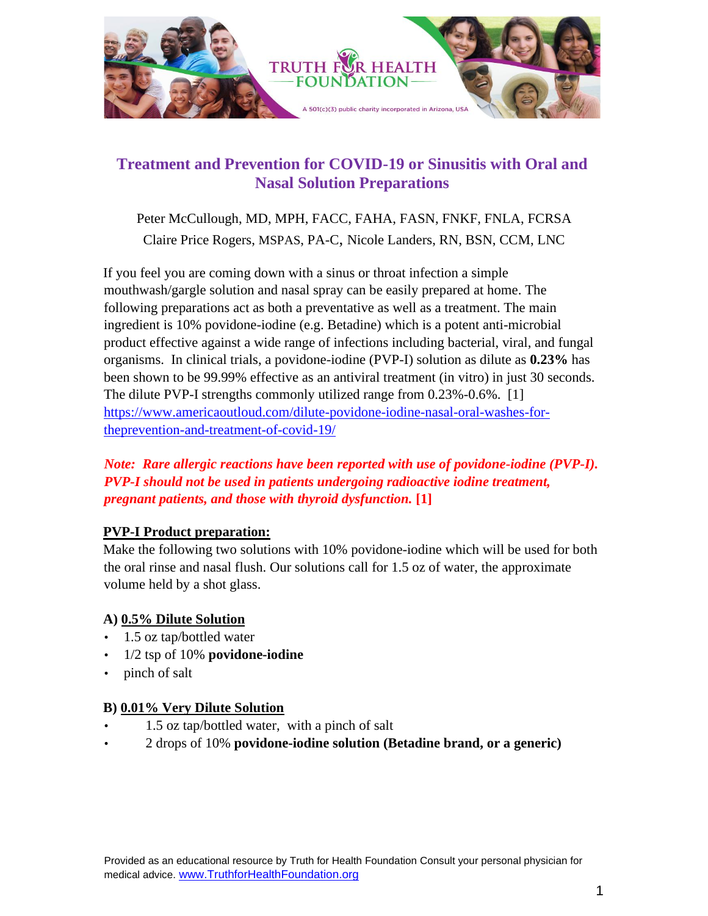

# **Treatment and Prevention for COVID-19 or Sinusitis with Oral and Nasal Solution Preparations**

Peter McCullough, MD, MPH, FACC, FAHA, FASN, FNKF, FNLA, FCRSA Claire Price Rogers, MSPAS, PA-C, Nicole Landers, RN, BSN, CCM, LNC

If you feel you are coming down with a sinus or throat infection a simple mouthwash/gargle solution and nasal spray can be easily prepared at home. The following preparations act as both a preventative as well as a treatment. The main ingredient is 10% povidone-iodine (e.g. Betadine) which is a potent anti-microbial product effective against a wide range of infections including bacterial, viral, and fungal organisms. In clinical trials, a povidone-iodine (PVP-I) solution as dilute as **0.23%** has been shown to be 99.99% effective as an antiviral treatment (in vitro) in just 30 seconds. The dilute PVP-I strengths commonly utilized range from 0.23%-0.6%. [1] https://www.americaoutloud.com/dilute-povidone-iodine-nasal-oral-washes-fortheprevention-and-treatment-of-covid-19/

### *Note: Rare allergic reactions have been reported with use of povidone-iodine (PVP-I). PVP-I should not be used in patients undergoing radioactive iodine treatment, pregnant patients, and those with thyroid dysfunction.* **[1]**

### **PVP-I Product preparation:**

Make the following two solutions with 10% povidone-iodine which will be used for both the oral rinse and nasal flush. Our solutions call for 1.5 oz of water, the approximate volume held by a shot glass.

### **A) 0.5% Dilute Solution**

- 1.5 oz tap/bottled water
- 1/2 tsp of 10% **povidone-iodine**
- pinch of salt

### **B) 0.01% Very Dilute Solution**

- 1.5 oz tap/bottled water, with a pinch of salt
- 2 drops of 10% **povidone-iodine solution (Betadine brand, or a generic)**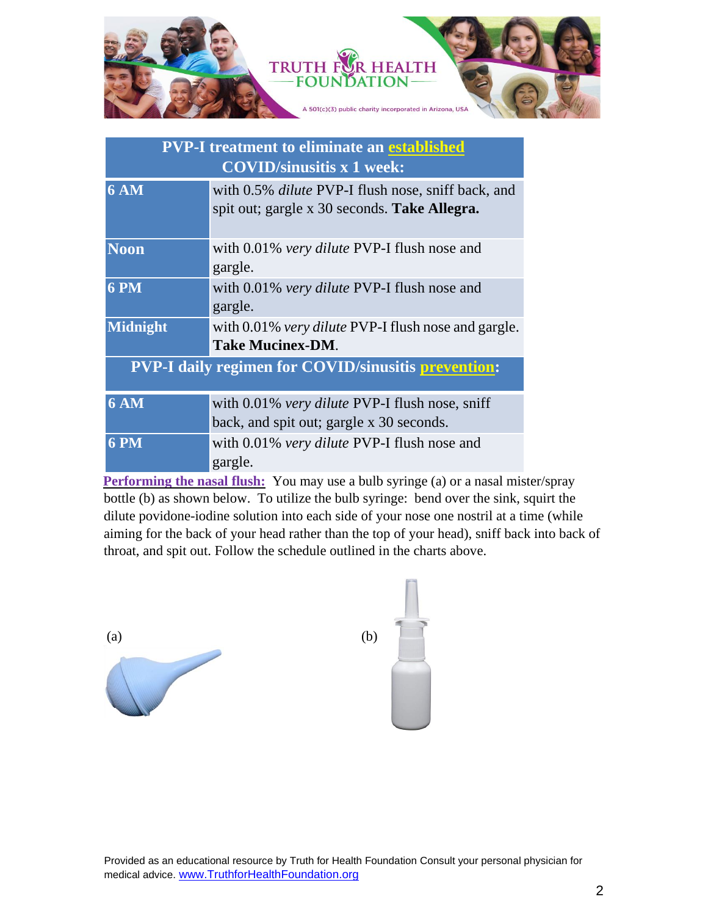

| <b>PVP-I treatment to eliminate an established</b><br><b>COVID/sinusitis x 1 week:</b> |                                                                                                           |
|----------------------------------------------------------------------------------------|-----------------------------------------------------------------------------------------------------------|
| <b>6 AM</b>                                                                            | with 0.5% <i>dilute</i> PVP-I flush nose, sniff back, and<br>spit out; gargle x 30 seconds. Take Allegra. |
| <b>Noon</b>                                                                            | with 0.01% very dilute PVP-I flush nose and<br>gargle.                                                    |
| <b>6 PM</b>                                                                            | with 0.01% very dilute PVP-I flush nose and<br>gargle.                                                    |
| <b>Midnight</b>                                                                        | with 0.01% very dilute PVP-I flush nose and gargle.<br><b>Take Mucinex-DM.</b>                            |
| <b>PVP-I daily regimen for COVID/sinusitis prevention:</b>                             |                                                                                                           |
| <b>6 AM</b>                                                                            | with 0.01% very dilute PVP-I flush nose, sniff<br>back, and spit out; gargle x 30 seconds.                |
| <b>6 PM</b>                                                                            | with 0.01% very dilute PVP-I flush nose and<br>gargle.                                                    |

**Performing the nasal flush:** You may use a bulb syringe (a) or a nasal mister/spray bottle (b) as shown below. To utilize the bulb syringe: bend over the sink, squirt the dilute povidone-iodine solution into each side of your nose one nostril at a time (while aiming for the back of your head rather than the top of your head), sniff back into back of throat, and spit out. Follow the schedule outlined in the charts above.



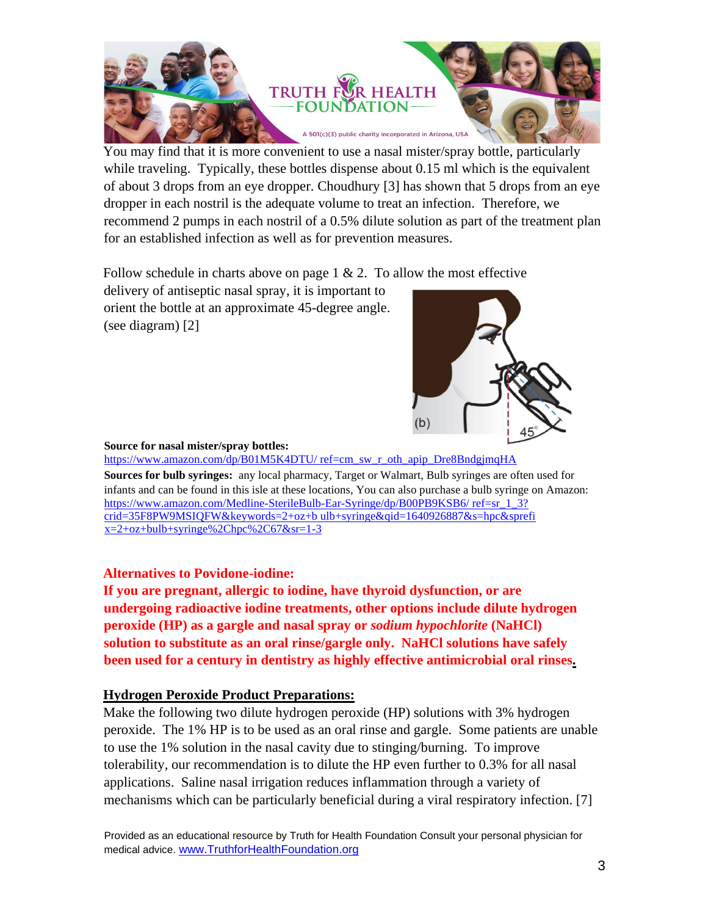

You may find that it is more convenient to use a nasal mister/spray bottle, particularly while traveling. Typically, these bottles dispense about 0.15 ml which is the equivalent of about 3 drops from an eye dropper. Choudhury [3] has shown that 5 drops from an eye dropper in each nostril is the adequate volume to treat an infection. Therefore, we recommend 2 pumps in each nostril of a 0.5% dilute solution as part of the treatment plan for an established infection as well as for prevention measures.

Follow schedule in charts above on page  $1 \& 2$ . To allow the most effective

delivery of antiseptic nasal spray, it is important to orient the bottle at an approximate 45-degree angle. (see diagram) [2]



#### **Source for nasal mister/spray bottles:**

https://www.amazon.com/dp/B01M5K4DTU/ ref=cm\_sw\_r\_oth\_apip\_Dre8BndgjmqHA

**Sources for bulb syringes:** any local pharmacy, Target or Walmart, Bulb syringes are often used for infants and can be found in this isle at these locations, You can also purchase a bulb syringe on Amazon: https://www.amazon.com/Medline-SterileBulb-Ear-Syringe/dp/B00PB9KSB6/ ref=sr\_1\_3? crid=35F8PW9MSIQFW&keywords=2+oz+b ulb+syringe&qid=1640926887&s=hpc&sprefi  $x=2+oz+bulp+syringe\%2Chpc\%2C67&sr=1-3$ 

#### **Alternatives to Povidone-iodine:**

**If you are pregnant, allergic to iodine, have thyroid dysfunction, or are undergoing radioactive iodine treatments, other options include dilute hydrogen peroxide (HP) as a gargle and nasal spray or** *sodium hypochlorite* **(NaHCl) solution to substitute as an oral rinse/gargle only. NaHCl solutions have safely been used for a century in dentistry as highly effective antimicrobial oral rinses.** 

### **Hydrogen Peroxide Product Preparations:**

Make the following two dilute hydrogen peroxide (HP) solutions with 3% hydrogen peroxide. The 1% HP is to be used as an oral rinse and gargle. Some patients are unable to use the 1% solution in the nasal cavity due to stinging/burning. To improve tolerability, our recommendation is to dilute the HP even further to 0.3% for all nasal applications. Saline nasal irrigation reduces inflammation through a variety of mechanisms which can be particularly beneficial during a viral respiratory infection. [7]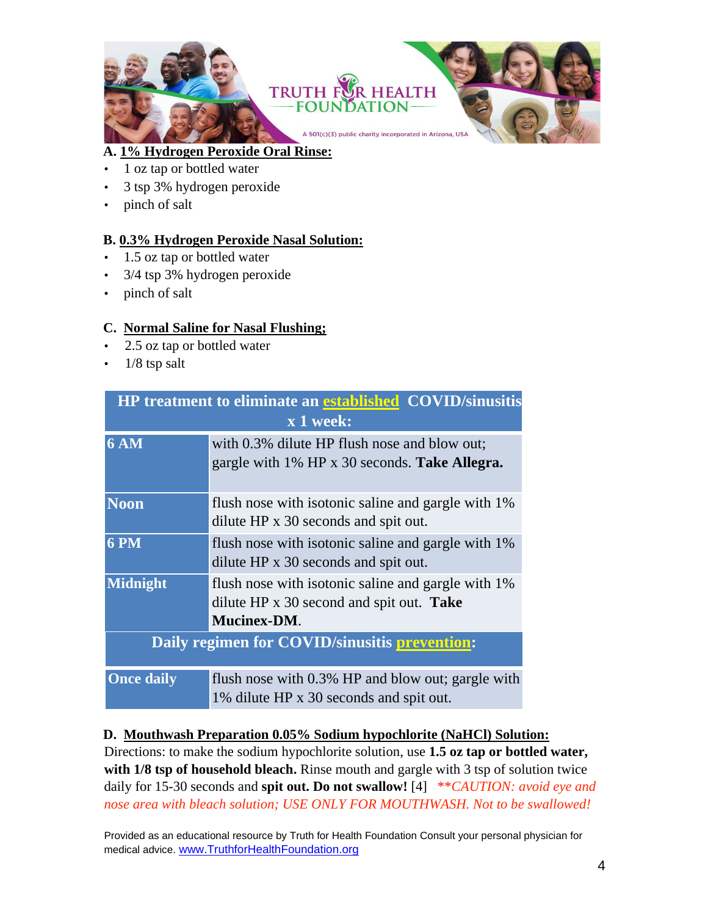

## **A. 1% Hydrogen Peroxide Oral Rinse:**

- 1 oz tap or bottled water
- 3 tsp 3% hydrogen peroxide
- pinch of salt

### **B. 0.3% Hydrogen Peroxide Nasal Solution:**

- 1.5 oz tap or bottled water
- 3/4 tsp 3% hydrogen peroxide
- pinch of salt

## **C. Normal Saline for Nasal Flushing;**

- 2.5 oz tap or bottled water
- $\cdot$  1/8 tsp salt

| <b>HP</b> treatment to eliminate an established COVID/sinusitis<br>x 1 week: |                                                                                                                      |
|------------------------------------------------------------------------------|----------------------------------------------------------------------------------------------------------------------|
| $6\overline{\text{AM}}$                                                      | with 0.3% dilute HP flush nose and blow out;<br>gargle with 1% HP x 30 seconds. Take Allegra.                        |
| <b>Noon</b>                                                                  | flush nose with isotonic saline and gargle with 1%<br>dilute HP x 30 seconds and spit out.                           |
| <b>6 PM</b>                                                                  | flush nose with isotonic saline and gargle with 1%<br>dilute HP x 30 seconds and spit out.                           |
| <b>Midnight</b>                                                              | flush nose with isotonic saline and gargle with 1%<br>dilute HP x 30 second and spit out. Take<br><b>Mucinex-DM.</b> |
| Daily regimen for COVID/sinusitis prevention:                                |                                                                                                                      |
| <b>Once daily</b>                                                            | flush nose with 0.3% HP and blow out; gargle with<br>1% dilute HP x 30 seconds and spit out.                         |

### **D. Mouthwash Preparation 0.05% Sodium hypochlorite (NaHCl) Solution:**

Directions: to make the sodium hypochlorite solution, use **1.5 oz tap or bottled water,**  with 1/8 tsp of household bleach. Rinse mouth and gargle with 3 tsp of solution twice daily for 15-30 seconds and **spit out. Do not swallow!** [4] \*\**CAUTION: avoid eye and nose area with bleach solution; USE ONLY FOR MOUTHWASH. Not to be swallowed!*

Provided as an educational resource by Truth for Health Foundation Consult your personal physician for medical advice. [www.TruthforHealthFoundation.org](http://www.truthforhealthfoundation.org/)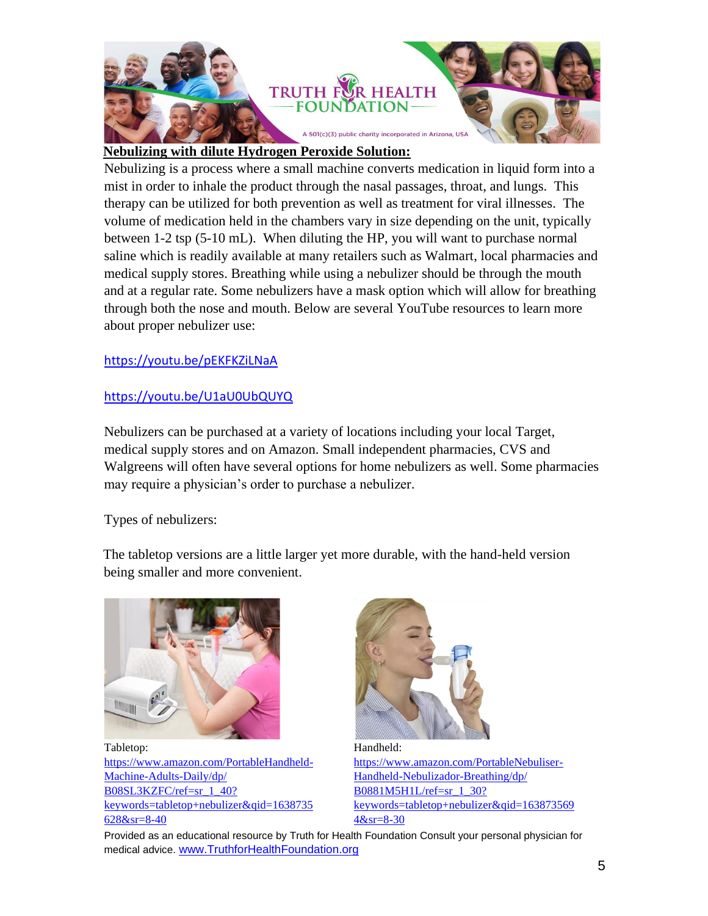

### **Nebulizing with dilute Hydrogen Peroxide Solution:**

Nebulizing is a process where a small machine converts medication in liquid form into a mist in order to inhale the product through the nasal passages, throat, and lungs. This therapy can be utilized for both prevention as well as treatment for viral illnesses. The volume of medication held in the chambers vary in size depending on the unit, typically between 1-2 tsp (5-10 mL). When diluting the HP, you will want to purchase normal saline which is readily available at many retailers such as Walmart, local pharmacies and medical supply stores. Breathing while using a nebulizer should be through the mouth and at a regular rate. Some nebulizers have a mask option which will allow for breathing through both the nose and mouth. Below are several YouTube resources to learn more about proper nebulizer use:

### <https://youtu.be/pEKFKZiLNaA>

### <https://youtu.be/U1aU0UbQUYQ>

Nebulizers can be purchased at a variety of locations including your local Target, medical supply stores and on Amazon. Small independent pharmacies, CVS and Walgreens will often have several options for home nebulizers as well. Some pharmacies may require a physician's order to purchase a nebulizer.

Types of nebulizers:

The tabletop versions are a little larger yet more durable, with the hand-held version being smaller and more convenient.



Tabletop: https://www.amazon.com/PortableHandheld-Machine-Adults-Daily/dp/ B08SL3KZFC/ref=sr\_1\_40? keywords=tabletop+nebulizer&qid=1638735 628&sr=8-40



Handheld: https://www.amazon.com/PortableNebuliser-Handheld-Nebulizador-Breathing/dp/ B0881M5H1L/ref=sr\_1\_30? keywords=tabletop+nebulizer&qid=163873569 4&sr=8-30

Provided as an educational resource by Truth for Health Foundation Consult your personal physician for medical advice. [www.TruthforHealthFoundation.org](http://www.truthforhealthfoundation.org/)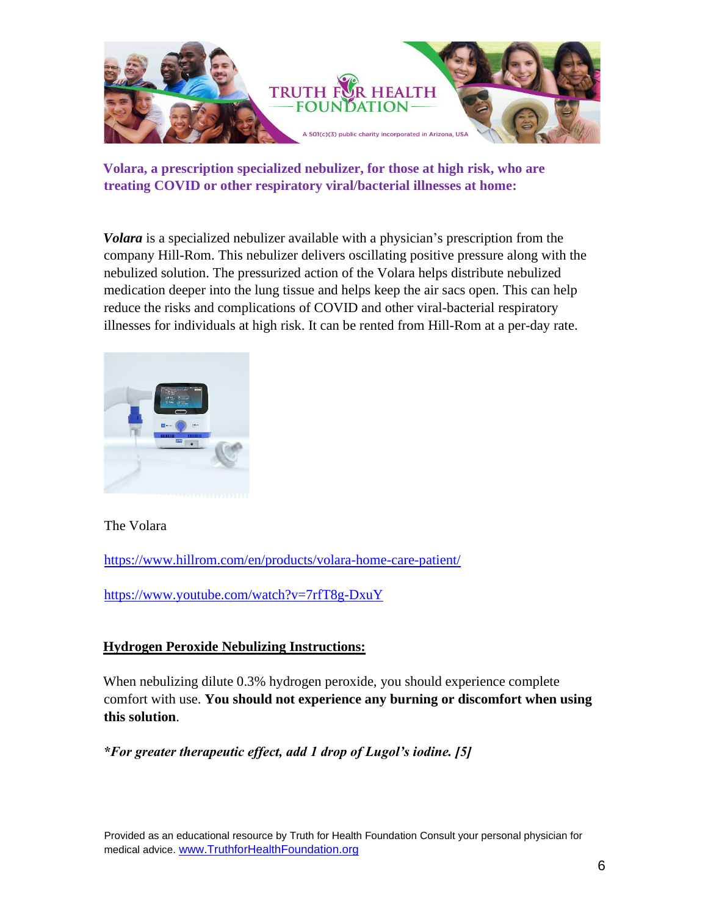

**Volara, a prescription specialized nebulizer, for those at high risk, who are treating COVID or other respiratory viral/bacterial illnesses at home:** 

*Volara* is a specialized nebulizer available with a physician's prescription from the company Hill-Rom. This nebulizer delivers oscillating positive pressure along with the nebulized solution. The pressurized action of the Volara helps distribute nebulized medication deeper into the lung tissue and helps keep the air sacs open. This can help reduce the risks and complications of COVID and other viral-bacterial respiratory illnesses for individuals at high risk. It can be rented from Hill-Rom at a per-day rate.



The Volara

<https://www.hillrom.com/en/products/volara-home-care-patient/>

<https://www.youtube.com/watch?v=7rfT8g-DxuY>

## **Hydrogen Peroxide Nebulizing Instructions:**

When nebulizing dilute 0.3% hydrogen peroxide, you should experience complete comfort with use. **You should not experience any burning or discomfort when using this solution**.

*\*For greater therapeutic effect, add 1 drop of Lugol's iodine. [5]*